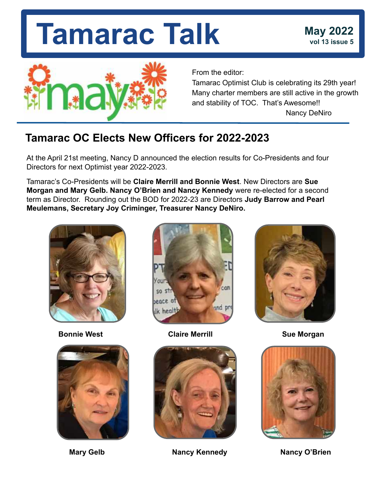

From the editor:

Tamarac Optimist Club is celebrating its 29th year! Many charter members are still active in the growth and stability of TOC. That's Awesome!! Nancy DeNiro

### **Tamarac OC Elects New Officers for 2022-2023**

At the April 21st meeting, Nancy D announced the election results for Co-Presidents and four Directors for next Optimist year 2022-2023.

Tamarac's Co-Presidents will be **Claire Merrill and Bonnie West**. New Directors are **Sue Morgan and Mary Gelb. Nancy O'Brien and Nancy Kennedy** were re-elected for a second term as Director. Rounding out the BOD for 2022-23 are Directors **Judy Barrow and Pearl Meulemans, Secretary Joy Criminger, Treasurer Nancy DeNiro.** 







**Bonnie West** Claire Merrill **Sue Morgan** 



Mary Gelb **Nancy Kennedy** Nancy O'Brien



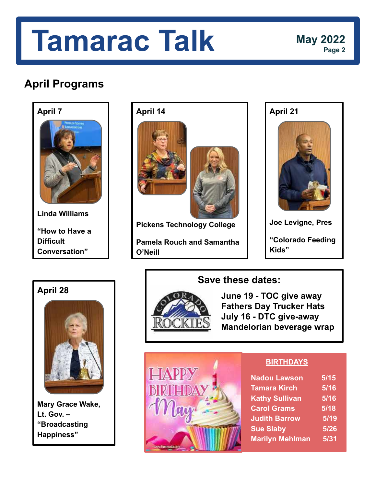

**Linda Williams**

**"How to Have a Difficult Conversation"** 



**Pickens Technology College** 

**Pamela Rouch and Samantha O'Neill**

**April 21**

**Joe Levigne, Pres "Colorado Feeding Kids"** 

### **April 28**



**Mary Grace Wake, Lt. Gov. – "Broadcasting Happiness"**

### **Save these dates:**



 **June 19 - TOC give away Fathers Day Trucker Hats July 16 - DTC give-away Mandelorian beverage wrap**



#### **BIRTHDAYS**

| <b>Nadou Lawson</b>    | 5/15 |
|------------------------|------|
| <b>Tamara Kirch</b>    | 5/16 |
| <b>Kathy Sullivan</b>  | 5/16 |
| <b>Carol Grams</b>     | 5/18 |
| <b>Judith Barrow</b>   | 5/19 |
| <b>Sue Slaby</b>       | 5/26 |
| <b>Marilyn Mehlman</b> | 5/31 |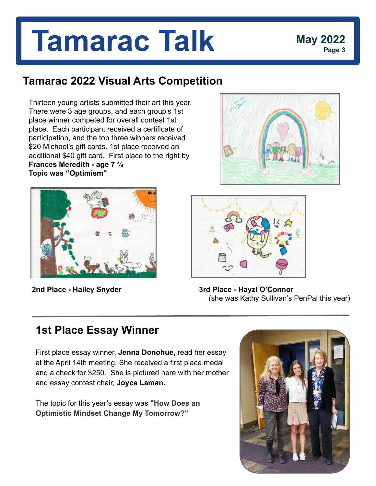## **Tamarac 2022 Visual Arts Competition**

Thirteen young artists submitted their art this year. There were 3 age groups, and each group's 1st place winner competed for overall contest 1st place. Each participant received a certificate of participation, and the top three winners received \$20 Michael's gift cards. 1st place received an additional \$40 gift card. First place to the right by **Frances Meredith - age 7 ¾ Topic was "Optimism"**







**2nd Place - Hailey Snyder 3rd Place - Hayzl O'Connor** (she was Kathy Sullivan's PenPal this year)

## **1st Place Essay Winner**

First place essay winner, **Jenna Donohue,** read her essay at the April 14th meeting. She received a first place medal and a check for \$250. She is pictured here with her mother and essay contest chair, **Joyce Laman.**

The topic for this year's essay was **"How Does an Optimistic Mindset Change My Tomorrow?"**

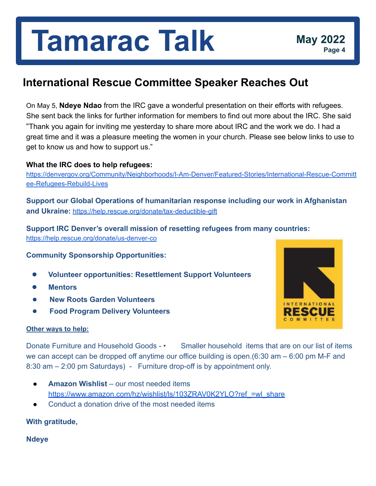## **International Rescue Committee Speaker Reaches Out**

On May 5, **Ndeye Ndao** from the IRC gave a wonderful presentation on their efforts with refugees. She sent back the links for further information for members to find out more about the IRC. She said "Thank you again for inviting me yesterday to share more about IRC and the work we do. I had a great time and it was a pleasure meeting the women in your church. Please see below links to use to get to know us and how to support us."

#### **What the IRC does to help refugees:**

[https://denvergov.org/Community/Neighborhoods/I-Am-Denver/Featured-Stories/International-Rescue-Committ](https://denvergov.org/Community/Neighborhoods/I-Am-Denver/Featured-Stories/International-Rescue-Committee-Refugees-Rebuild-Lives) [ee-Refugees-Rebuild-Lives](https://denvergov.org/Community/Neighborhoods/I-Am-Denver/Featured-Stories/International-Rescue-Committee-Refugees-Rebuild-Lives)

**Support our Global Operations of humanitarian response including our work in Afghanistan and Ukraine:** <https://help.rescue.org/donate/tax-deductible-gift>

**Support IRC Denver's overall mission of resetting refugees from many countries:** 

<https://help.rescue.org/donate/us-denver-co>

#### **Community Sponsorship Opportunities:**

- **● Volunteer opportunities: Resettlement Support Volunteers**
- **● Mentors**
- **New Roots Garden Volunteers**
- **Food Program Delivery Volunteers**

#### **Other ways to help:**

**INTERNATIONAL** RESCUE

Donate Furniture and Household Goods - • Smaller household items that are on our list of items we can accept can be dropped off anytime our office building is open.(6:30 am – 6:00 pm M-F and 8:30 am – 2:00 pm Saturdays) - Furniture drop-off is by appointment only.

- **Amazon Wishlist** our most needed items https://www.amazon.com/hz/wishlist/ls/103ZRAV0K2YLO?ref =wl\_share
- Conduct a donation drive of the most needed items

#### **With gratitude,**

**Ndeye**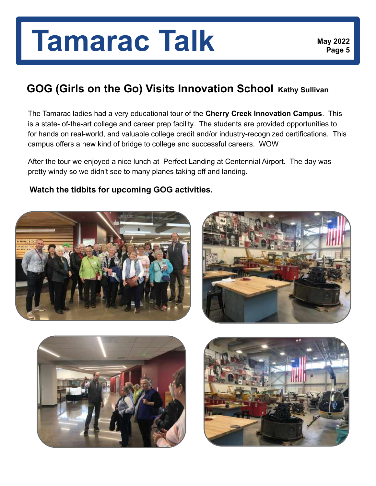### **GOG (Girls on the Go) Visits Innovation School Kathy Sullivan**

The Tamarac ladies had a very educational tour of the **Cherry Creek Innovation Campus**. This is a state- of-the-art college and career prep facility. The students are provided opportunities to for hands on real-world, and valuable college credit and/or industry-recognized certifications. This campus offers a new kind of bridge to college and successful careers. WOW

After the tour we enjoyed a nice lunch at Perfect Landing at Centennial Airport. The day was pretty windy so we didn't see to many planes taking off and landing.

**Watch the tidbits for upcoming GOG activities.** 







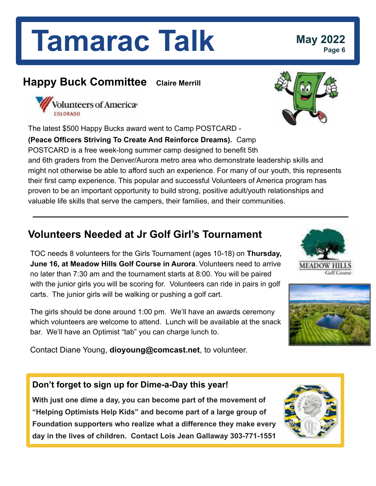### **Happy Buck Committee Claire Merrill**



The latest \$500 Happy Bucks award went to Camp POSTCARD -

**(Peace Officers Striving To Create And Reinforce Dreams).** Camp POSTCARD is a free week-long summer camp designed to benefit 5th and 6th graders from the Denver/Aurora metro area who demonstrate leadership skills and might not otherwise be able to afford such an experience. For many of our youth, this represents their first camp experience. This popular and successful Volunteers of America program has proven to be an important opportunity to build strong, positive adult/youth relationships and valuable life skills that serve the campers, their families, and their communities.

## **Volunteers Needed at Jr Golf Girl's Tournament**

TOC needs 8 volunteers for the Girls Tournament (ages 10-18) on **Thursday, June 16, at Meadow Hills Golf Course in Aurora**. Volunteers need to arrive no later than 7:30 am and the tournament starts at 8:00. You will be paired with the junior girls you will be scoring for. Volunteers can ride in pairs in golf carts. The junior girls will be walking or pushing a golf cart.

The girls should be done around 1:00 pm. We'll have an awards ceremony which volunteers are welcome to attend. Lunch will be available at the snack bar. We'll have an Optimist "tab" you can charge lunch to.

Contact Diane Young, **dioyoung@comcast.net**, to volunteer.

#### **Don't forget to sign up for Dime-a-Day this year!**

**With just one dime a day, you can become part of the movement of "Helping Optimists Help Kids" and become part of a large group of Foundation supporters who realize what a difference they make every day in the lives of children. Contact Lois Jean Gallaway 303-771-1551**









## **Page 6**